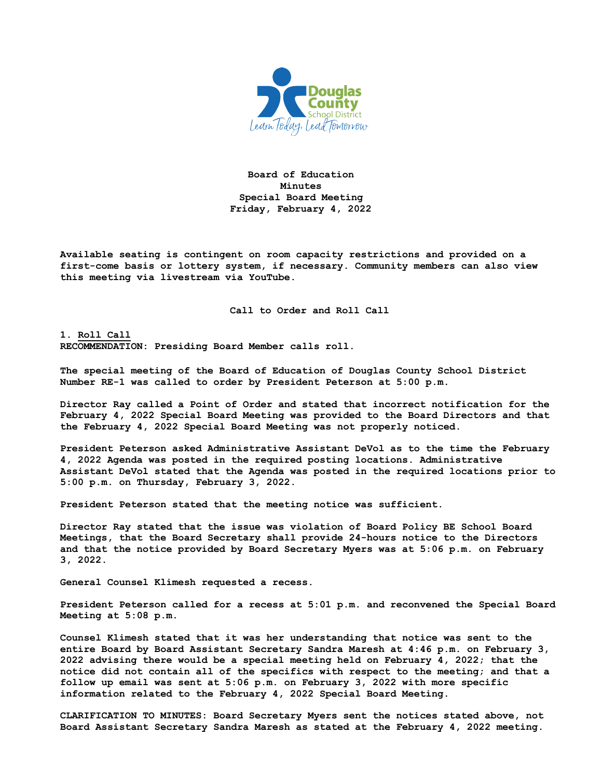

**Board of Education Minutes Special Board Meeting Friday, February 4, 2022**

**Available seating is contingent on room capacity restrictions and provided on a first-come basis or lottery system, if necessary. Community members can also view this meeting via livestream via YouTube.**

**Call to Order and Roll Call**

**1. Roll Call RECOMMENDATION: Presiding Board Member calls roll.** 

**The special meeting of the Board of Education of Douglas County School District Number RE-1 was called to order by President Peterson at 5:00 p.m.**

**Director Ray called a Point of Order and stated that incorrect notification for the February 4, 2022 Special Board Meeting was provided to the Board Directors and that the February 4, 2022 Special Board Meeting was not properly noticed.** 

**President Peterson asked Administrative Assistant DeVol as to the time the February 4, 2022 Agenda was posted in the required posting locations. Administrative Assistant DeVol stated that the Agenda was posted in the required locations prior to 5:00 p.m. on Thursday, February 3, 2022.**

**President Peterson stated that the meeting notice was sufficient.**

**Director Ray stated that the issue was violation of Board Policy BE School Board Meetings, that the Board Secretary shall provide 24-hours notice to the Directors and that the notice provided by Board Secretary Myers was at 5:06 p.m. on February 3, 2022.**

**General Counsel Klimesh requested a recess.**

**President Peterson called for a recess at 5:01 p.m. and reconvened the Special Board Meeting at 5:08 p.m.**

**Counsel Klimesh stated that it was her understanding that notice was sent to the entire Board by Board Assistant Secretary Sandra Maresh at 4:46 p.m. on February 3, 2022 advising there would be a special meeting held on February 4, 2022; that the notice did not contain all of the specifics with respect to the meeting; and that a follow up email was sent at 5:06 p.m. on February 3, 2022 with more specific information related to the February 4, 2022 Special Board Meeting.**

**CLARIFICATION TO MINUTES: Board Secretary Myers sent the notices stated above, not Board Assistant Secretary Sandra Maresh as stated at the February 4, 2022 meeting.**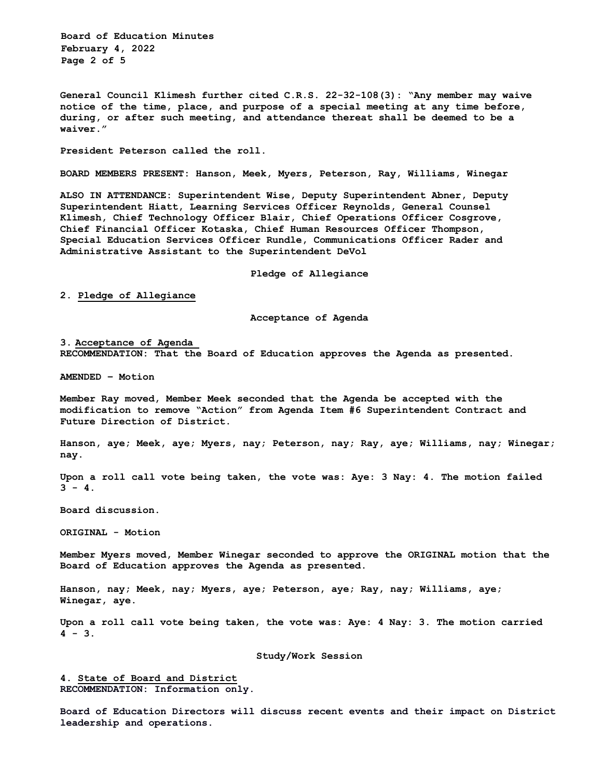**Board of Education Minutes February 4, 2022 Page 2 of 5** 

**General Council Klimesh further cited C.R.S. 22-32-108(3): "Any member may waive notice of the time, place, and purpose of a special meeting at any time before, during, or after such meeting, and attendance thereat shall be deemed to be a waiver."**

**President Peterson called the roll.**

**BOARD MEMBERS PRESENT: Hanson, Meek, Myers, Peterson, Ray, Williams, Winegar**

**ALSO IN ATTENDANCE: Superintendent Wise, Deputy Superintendent Abner, Deputy Superintendent Hiatt, Learning Services Officer Reynolds, General Counsel Klimesh, Chief Technology Officer Blair, Chief Operations Officer Cosgrove, Chief Financial Officer Kotaska, Chief Human Resources Officer Thompson, Special Education Services Officer Rundle, Communications Officer Rader and Administrative Assistant to the Superintendent DeVol**

**Pledge of Allegiance**

**2. Pledge of Allegiance**

**Acceptance of Agenda**

**3. Acceptance of Agenda RECOMMENDATION: That the Board of Education approves the Agenda as presented.** 

**AMENDED – Motion**

**Member Ray moved, Member Meek seconded that the Agenda be accepted with the modification to remove "Action" from Agenda Item #6 Superintendent Contract and Future Direction of District.**

**Hanson, aye; Meek, aye; Myers, nay; Peterson, nay; Ray, aye; Williams, nay; Winegar; nay.**

**Upon a roll call vote being taken, the vote was: Aye: 3 Nay: 4. The motion failed 3 - 4.**

**Board discussion.**

**ORIGINAL - Motion** 

**Member Myers moved, Member Winegar seconded to approve the ORIGINAL motion that the Board of Education approves the Agenda as presented.**

**Hanson, nay; Meek, nay; Myers, aye; Peterson, aye; Ray, nay; Williams, aye; Winegar, aye.**

**Upon a roll call vote being taken, the vote was: Aye: 4 Nay: 3. The motion carried 4 - 3.** 

**Study/Work Session**

**4. State of Board and District RECOMMENDATION: Information only.**

**Board of Education Directors will discuss recent events and their impact on District leadership and operations.**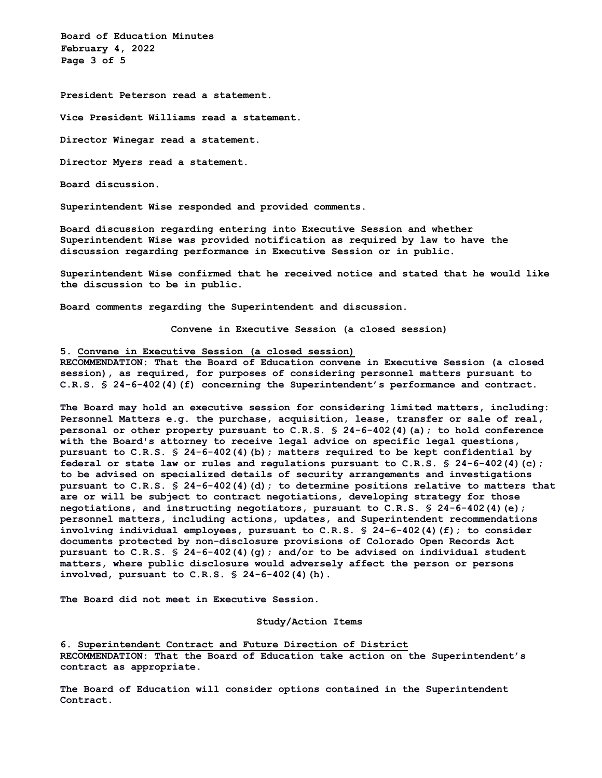**Board of Education Minutes February 4, 2022 Page 3 of 5** 

**President Peterson read a statement.**

**Vice President Williams read a statement.**

**Director Winegar read a statement.**

**Director Myers read a statement.**

**Board discussion.**

**Superintendent Wise responded and provided comments.**

**Board discussion regarding entering into Executive Session and whether Superintendent Wise was provided notification as required by law to have the discussion regarding performance in Executive Session or in public.**

**Superintendent Wise confirmed that he received notice and stated that he would like the discussion to be in public.**

**Board comments regarding the Superintendent and discussion.**

**Convene in Executive Session (a closed session)**

**5. Convene in Executive Session (a closed session)**

**RECOMMENDATION: That the Board of Education convene in Executive Session (a closed session), as required, for purposes of considering personnel matters pursuant to C.R.S. § 24-6-402(4)(f) concerning the Superintendent's performance and contract.**

**The Board may hold an executive session for considering limited matters, including: Personnel Matters e.g. the purchase, acquisition, lease, transfer or sale of real, personal or other property pursuant to C.R.S. § 24-6-402(4)(a); to hold conference with the Board's attorney to receive legal advice on specific legal questions, pursuant to C.R.S. § 24-6-402(4)(b); matters required to be kept confidential by federal or state law or rules and regulations pursuant to C.R.S. § 24-6-402(4)(c); to be advised on specialized details of security arrangements and investigations pursuant to C.R.S. § 24-6-402(4)(d); to determine positions relative to matters that are or will be subject to contract negotiations, developing strategy for those negotiations, and instructing negotiators, pursuant to C.R.S. § 24-6-402(4)(e); personnel matters, including actions, updates, and Superintendent recommendations involving individual employees, pursuant to C.R.S. § 24-6-402(4)(f); to consider documents protected by non-disclosure provisions of Colorado Open Records Act pursuant to C.R.S. § 24-6-402(4)(g); and/or to be advised on individual student matters, where public disclosure would adversely affect the person or persons involved, pursuant to C.R.S. § 24-6-402(4)(h).** 

**The Board did not meet in Executive Session.** 

**Study/Action Items**

**6. Superintendent Contract and Future Direction of District RECOMMENDATION: That the Board of Education take action on the Superintendent's contract as appropriate.**

**The Board of Education will consider options contained in the Superintendent Contract.**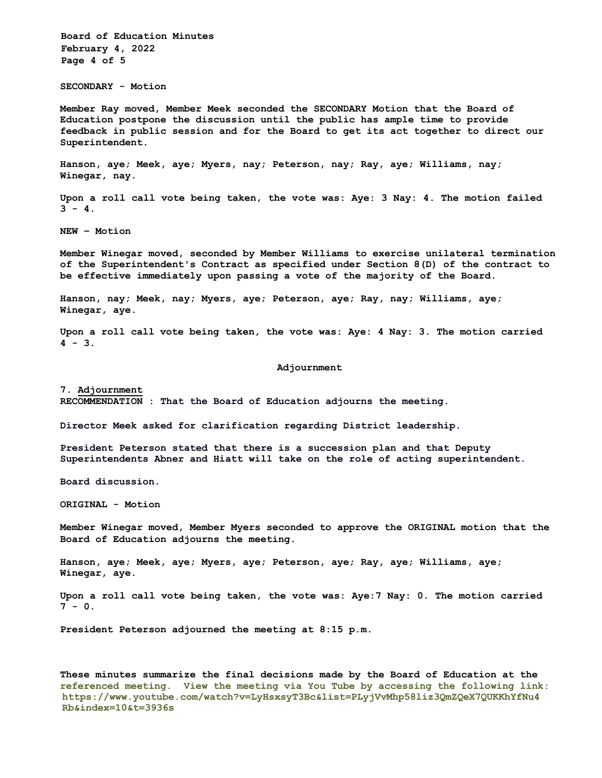**Board of Education Minutes February 4, 2022 Page 4 of 5**

**SECONDARY - Motion** 

**Member Ray moved, Member Meek seconded the SECONDARY Motion that the Board of Education postpone the discussion until the public has ample time to provide feedback in public session and for the Board to get its act together to direct our Superintendent.**

**Hanson, aye; Meek, aye; Myers, nay; Peterson, nay; Ray, aye; Williams, nay; Winegar, nay.**

**Upon a roll call vote being taken, the vote was: Aye: 3 Nay: 4. The motion failed 3 - 4.**

**NEW – Motion**

**Member Winegar moved, seconded by Member Williams to exercise unilateral termination of the Superintendent's Contract as specified under Section 8(D) of the contract to be effective immediately upon passing a vote of the majority of the Board.**

**Hanson, nay; Meek, nay; Myers, aye; Peterson, aye; Ray, nay; Williams, aye; Winegar, aye.**

**Upon a roll call vote being taken, the vote was: Aye: 4 Nay: 3. The motion carried 4 - 3.**

## **Adjournment**

**7. Adjournment RECOMMENDATION : That the Board of Education adjourns the meeting.**

**Director Meek asked for clarification regarding District leadership.** 

**President Peterson stated that there is a succession plan and that Deputy Superintendents Abner and Hiatt will take on the role of acting superintendent.** 

**Board discussion.**

**ORIGINAL - Motion** 

**Member Winegar moved, Member Myers seconded to approve the ORIGINAL motion that the Board of Education adjourns the meeting.**

**Hanson, aye; Meek, aye; Myers, aye; Peterson, aye; Ray, aye; Williams, aye; Winegar, aye.**

**Upon a roll call vote being taken, the vote was: Aye:7 Nay: 0. The motion carried 7 - 0.**

**President Peterson adjourned the meeting at 8:15 p.m.**

**These minutes summarize the final decisions made by the Board of Education at the referenced meeting. View the meeting via You Tube by accessing the following link: https://www.youtube.com/watch?v=LyHsxsyT3Bc&list=PLyjVvMhp58liz3QmZQeX7QUKKhYfNu4 Rb&index=10&t=3936s**